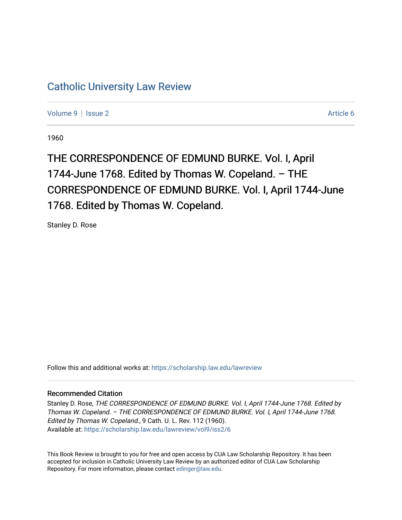## [Catholic University Law Review](https://scholarship.law.edu/lawreview)

[Volume 9](https://scholarship.law.edu/lawreview/vol9) | [Issue 2](https://scholarship.law.edu/lawreview/vol9/iss2) Article 6

1960

## THE CORRESPONDENCE OF EDMUND BURKE. Vol. I, April 1744-June 1768. Edited by Thomas W. Copeland. – THE CORRESPONDENCE OF EDMUND BURKE. Vol. I, April 1744-June 1768. Edited by Thomas W. Copeland.

Stanley D. Rose

Follow this and additional works at: [https://scholarship.law.edu/lawreview](https://scholarship.law.edu/lawreview?utm_source=scholarship.law.edu%2Flawreview%2Fvol9%2Fiss2%2F6&utm_medium=PDF&utm_campaign=PDFCoverPages)

## Recommended Citation

Stanley D. Rose, THE CORRESPONDENCE OF EDMUND BURKE. Vol. I, April 1744-June 1768. Edited by Thomas W. Copeland. – THE CORRESPONDENCE OF EDMUND BURKE. Vol. I, April 1744-June 1768. Edited by Thomas W. Copeland., 9 Cath. U. L. Rev. 112 (1960). Available at: [https://scholarship.law.edu/lawreview/vol9/iss2/6](https://scholarship.law.edu/lawreview/vol9/iss2/6?utm_source=scholarship.law.edu%2Flawreview%2Fvol9%2Fiss2%2F6&utm_medium=PDF&utm_campaign=PDFCoverPages) 

This Book Review is brought to you for free and open access by CUA Law Scholarship Repository. It has been accepted for inclusion in Catholic University Law Review by an authorized editor of CUA Law Scholarship Repository. For more information, please contact [edinger@law.edu.](mailto:edinger@law.edu)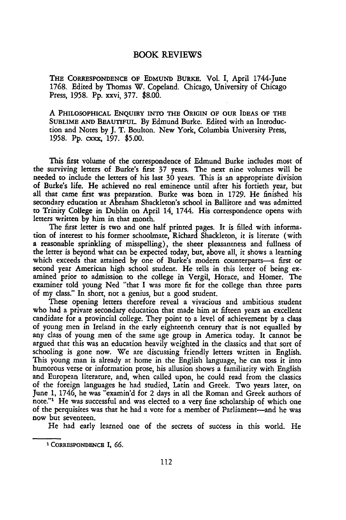## BOOK REVIEWS

**THE CORRESPONDENCE OF** EDMUND **BURKE.** Vol. I, April 1744-June 1768. Edited **by** Thomas W. Copeland. Chicago, University of Chicago Press, 1958. Pp. xxvi, 377. \$8.00.

A **PHILOSOPHICAL** ENQUIRY **INTO THE** ORIGIN **OF OUR IDEAS OF THE** SUBLIME AND BEAUTIFUL. By Edmund Burke. Edited with an Introduction and Notes **by** J. T. Boulton. New York, Columbia University Press, 1958. Pp. cxxx, 197. \$5.00.

This first volume of the correspondence of Edmund Burke includes most of the surviving letters of Burke's first **37** years. The next nine volumes will be needed to include the letters of his last 30 years. This is an appropriate division of Burke's life. He achieved no real eminence until after his fortieth year, but all that came first was preparation. Burke was born in 1729. He finished his secondary education at Abraham Shackleton's school in Ballitore and was admitted to Trinity College in Dublin on April 14, 1744. His correspondence opens with letters written by him in that month.

The first letter is two and one half printed pages. It is filled with information of interest to his former schoolmate, Richard Shackleton, it is literate (with a reasonable sprinkling of misspelling), the sheer pleasantness and fullness of the letter is beyond what can be expected today, but, above all, it shows a learning which exceeds that attained by one of Burke's modern counterparts-a first or second year American high school student. He tells in this letter of being examined prior to admission to the college in Vergil, Horace, and Homer. The examiner told young Ned "that I was more fit for the college than three parts of my class." In short, not a genius, but a good student.

These opening letters therefore reveal a vivacious and ambitious student who had a private secondary education that made him at fifteen years an excellent candidate for a provincial college. They point to a level of achievement by a class of young men in Ireland in the early eighteenth century that is not equalled by any class of young men of the same age group in America today. It cannot be argued that this was an education heavily weighted in the classics and that sort of schooling is gone now. We are discussing friendly letters written in English. This young man is already at home in the English language, he can toss it into humorous verse or information prose, his allusion shows a familiarity with English and European literature, and, when called upon, he could read from the classics of the foreign languages he had studied, Latin and Greek. Two years later, on June 1, 1746, he was "examin'd for 2 days in all the Roman and Greek authors of note."' He was successful and was elected to a very fine scholarship of which one of the perquisites was that he had a vote for a member of Parliament-and he was now but seventeen.

He had early learned one of the secrets of success in this world. He

**<sup>&#</sup>x27;CORRESPONDENCE I, 66.**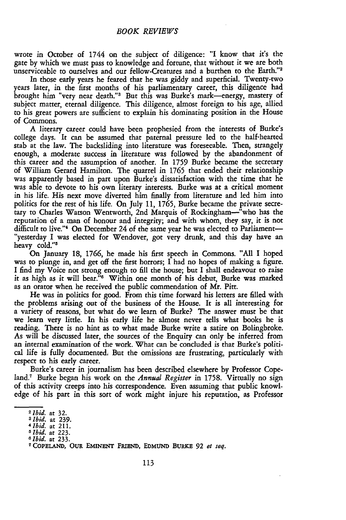wrote in October of 1744 on the subject of diligence: "I know that it's the gate by which we must pass to knowledge and fortune, that without it we are both unserviceable to ourselves and our fellow-Creatures and a burthen to the Earth."2

In those early years he feared that he was giddy and superficial. Twenty-two years later, in the first months of his parliamentary career, this diligence had brought him "very near death."<sup>3</sup> But this was Burke's mark-energy, mastery of subject matter, eternal diligence. This diligence, almost foreign to his age, allied to his great powers are sufficient to explain his dominating position in the House of Commons.

A literary career could have been prophesied from the interests of Burke's college days. It can be assumed that paternal pressure led to the half-hearted stab at the law. The backsliding into literature was foreseeable. Then, strangely enough, a moderate success in literature was followed by the abandonment of this career and the assumption of another. In 1759 Burke became the secretary of William Gerard Hamilton. The quarrel in 1765 that ended their relationship was apparently based in part upon Burke's dissatisfaction with the time that he was able to devote to his own literary interests. Burke was at a critical moment in his life. His next move diverted him finally from literature and led him into politics for the rest of his life. On July **11, 1765,** Burke became the private secretary to Charles Watson Wentworth, 2nd Marquis of Rockingham-"who has the reputation of a man of honour and integrity; and with whom, they say, it is not difficult to live."<sup>4</sup> On December 24 of the same year he was elected to Parliament-<br>"yesterday I was elected for Wendover, got very drunk, and this day have an heavy cold."<sup>5</sup>

On January 18, **1766,** he made his first speech in Commons. "All I hoped was to plunge in, and get off the first horrors; I had no hopes of making a figure. I find my Voice not strong enough to fill the house; but I shall endeavour to raise it as high as it will bear."<sup>6</sup> Within one month of his debut, Burke was marked as an orator when he received the public commendation of Mr. Pitt.

He was in politics for good. From this time forward his letters are filled with the problems arising out of the business of the House. It is all interesting for a variety of reasons, but what do we learn of Burke? The answer must be that we learn very little. In his early life he almost never tells what books he is reading. There is no hint as to what made Burke write a satire on Bolingbroke. As will be discussed later, the sources of the Enquiry can only be inferred from an internal examination of the work. What can be concluded is that Burke's political life is fully documented. But the omissions are frustrating, particularly with respect to his early career.

Burke's career in journalism has been described elsewhere by Professor Copeland.7 Burke began his work on the *Annual Register* in 1758. Virtually no sign of this activity creeps into his correspondence. Even assuming that public knowledge of his part in this sort of work might injure his reputation, as Professor

<sup>2</sup>Ibid. at 32.

*<sup>3</sup> Ibid.* at 239.

<sup>4</sup>Ibid. at 211. *5Ibid.* at 223.

*<sup>6</sup>Ibid.* at 233. **<sup>7</sup> COPELAND, OUR EMINENT FRIEND, EDMUND BURKE** 92 *et seq.*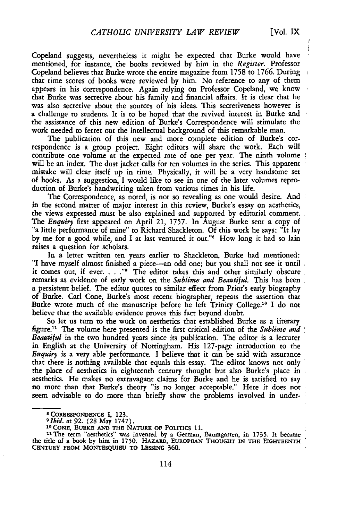Copeland suggests, nevertheless it might be expected that Burke would have mentioned, for instance, the books reviewed by him in the *Register.* Professor Copeland believes that Burke wrote the entire magazine from 1758 to **1766.** During that time scores of books were reviewed by him. No reference to any of them appears in his correspondence. Again relying on Professor Copeland, we know that Burke was secretive about his family and financial affairs. It is clear that he was also secretive about the sources of his ideas. This secretiveness however is a challenge to students. It is to be hoped that the revived interest in Burke and the assistance of this new edition of Burke's Correspondence will stimulate the work needed to ferret out the intellectual background of this remarkable man.

The publication of this new and more complete edition of Burke's correspondence is a group project. Eight editors will share the work. Each will contribute one volume at the expected rate of one per year. The ninth volume will be an index. The dust jacket calls for ten volumes in the series. This apparent mistake will clear itself up in time. Physically, it will be a very handsome set of books. As a suggestion, I would like to see in one of the later volumes reproduction of Burke's handwriting taken from various times in his life.

The Correspondence, as noted, is not so revealing as one would desire. And in the second matter of major interest in this review, Burke's essay on aesthetics, the views expressed must be also explained and supported by editorial comment. *The Enquiry* first appeared on April 21, 1757. In August Burke sent a copy of **.a** little performance of mine" to Richard Shackleton. Of this work he says: "It lay by me for a good while, and I at last ventured it out."<sup>8</sup> How long it had so lain raises a question for scholars.

In a letter written ten years earlier to Shackleton, Burke had mentioned: "I have myself almost finished a piece-an odd one; but you shall not see it until . it comes out, if ever . . . ."<sup>9</sup> The editor takes this and other similarly obscure remarks as evidence of early work on the *Sublime and Beautiful.* This has been a persistent belief. The editor quotes to similar effect from Prior's early biography of Burke. Carl Cone, Burke's most recent biographer, repeats the assertion that Burke wrote much of the manuscript before he left Trinity College.10 I do not believe that the available evidence proves this fact beyond doubt.

So let us turn to the work on aesthetics that established Burke as a literary figure."' The volume here presented is the first critical edition of the *Sublime and Beautiful* in the two hundred years since its publication. The editor is a lecturer in English at the University of Nottingham. His 127-page introduction to the *Enquiry* is a very able performance. I believe that it can be said with assurance that there is nothing available that equals this essay. The editor knows not only the place of aesthetics in eighteenth century thought but also Burke's place in aesthetics. He makes no extravagant claims for Burke and he is satisfied to say no more than that Burke's theory "is no longer acceptable." Here it does not seem advisable to do more than briefly show the problems involved in under-

**<sup>8</sup> CORRESPONDENCE I, 123.**

*OIbid.* at **92. (28** May 1747). **<sup>1</sup> 0 CONE, BURKE AND THE NATURE OF POLITICS 11.**

**<sup>11</sup>**The term "aesthetics" was invented **by** a German, Baumgarten, in 1735. It became the title of a book **by** him in **1750. HAZARD, EUROPEAN THOUGHT IN THE EIGHTEENTH CENTURY FROM MONTESQUIEU TO LESSING 360.**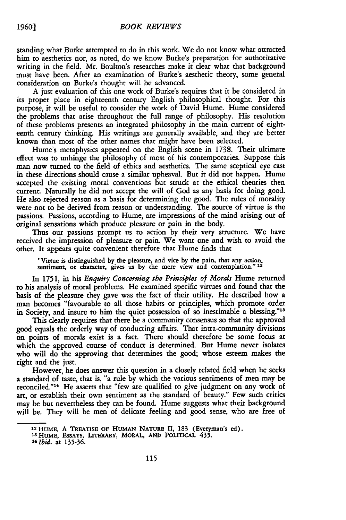standing what Burke attempted to do in this work. We do not know what attracted him to aesthetics nor, as noted, do we know Burke's preparation for authoritative writing in the field. Mr. Boulton's researches make it clear what that background must have been. After an examination of Burke's aesthetic theory, some general consideration on Burke's thought will be advanced.

A just evaluation of this one work of Burke's requires that it be considered in its proper place in eighteenth century English philosophical thought. For this purpose, it will be useful to consider the work of David Hume. Hume considered the problems that arise throughout the full range of philosophy. His resolution of these problems presents an integrated philosophy in the main current of eighteenth century thinking. His writings are generally available, and they are better known than most of the other names that might have been selected.

Hume's metaphysics appeared on the English scene in 1738. Their ultimate effect was to unhinge the philosophy of most of his contemporaries. Suppose this man now turned to the field of ethics and aesthetics. The same sceptical eye cast in these directions should cause a similar upheaval. But it did not happen. Hume accepted the existing moral conventions but struck at the ethical theories then current. Naturally he did not accept the will of God as any basis for doing good. He also rejected reason as a basis for determining the good. The rules of morality were not to be derived from reason or understanding. The source of virtue is the passions. Passions, according to Hume, are impressions of the mind arising out of original sensations which produce pleasure or pain in the body.

Thus our passions prompt us to action by their very structure. We have received the impression of pleasure or pain. We want one and wish to avoid the other. It appears quite convenient therefore that Hume finds that

"Virtue is distinguished **by** the pleasure, and vice by the pain, that any action. sentiment, or character, gives us **by** the mere view and contemplation." **<sup>12</sup>**

In **1751,** in his *Enquiry Concerning the Principles of Morals* Hume returned to his analysis of moral problems. He examined specific virtues and found that the basis of the pleasure they gave was the fact of their utility. He described how a man becomes "favourable to all those habits or principles, which promote order in Society, and insure to him the quiet possession of so inestimable a blessing."18

This clearly requires that there be a community consensus so that the approved good equals the orderly way of conducting affairs. That intra-community divisions on points of morals exist is a fact. There should therefore be some focus at which the approved course of conduct is determined. But Hume never isolates who will do the approving that determines the good; whose esteem makes the right and the just.

However, he does answer this question in a closely related field when he seeks a standard of taste, that is, "a rule **by** which the various sentiments of men may be reconciled."<sup>14</sup> He asserts that "few are qualified to give judgment on any work of art, or establish their own sentiment as the standard of beauty." Few such critics may be but nevertheless they can be found. Hume suggests what their background will be. They will be men of delicate feeling and good sense, who are free of

**<sup>1</sup> <sup>2</sup> HUME,** A TREATISE **OF HUMAN NATURE II, 183** (Everyman's ed).

**<sup>&#</sup>x27; <sup>8</sup> HuME, ESSAYS, LITERARY, MORAL, AND POLITICAL** 435.

**<sup>14</sup>** *Ibid.* at **135-36.**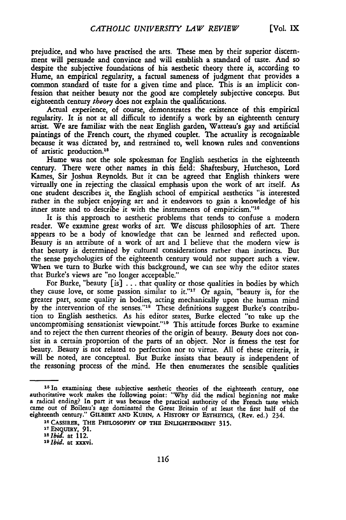prejudice, and who have practised the arts. These men by their superior discernment will persuade and convince and will establish a standard of taste. And so despite the subjective foundations of his aesthetic theory there is, according to Hume, **an** empirical regularity, a factual sameness of judgment that provides a common standard of taste for a given time and place. This is an implicit confession that neither beauty nor the good are completely subjective concepts. But eighteenth century *theory* does not explain the qualifications.

Actual experience, of course, demonstrates the existence of this empirical regularity. It is not at all difficult to identify a work by an eighteenth century artist. We are familiar with the neat English garden, Watteau's gay and artificial paintings of the French court, the rhymed couplet. The actuality is recognizable because it was dictated by, and restrained to, well known rules and conventions of artistic production.<sup>15</sup>

Hume was not the sole spokesman for English aesthetics in the eighteenth century. There were other names in this field: Shaftesbury, Hutcheson, Lord Kames, Sir Joshua Reynolds. But it can be agreed that English thinkers were virtually one in rejecting the classical emphasis upon the work of art itself. As one student describes it, the English school of empirical aesthetics "is interested rather in the subject enjoying art and it endeavors to gain a knowledge of his inner state and to describe it with the instruments of empiricism."'16

It is this approach to aesthetic problems that tends to confuse a modern reader. We examine great works of art. We discuss philosophies of art. There appears to be a body of knowledge that can be learned and reflected upon. Beauty is an attribute of a work of art and I believe that the modern view is that beauty is determined by cultural considerations rather than instincts. But the sense psychologies of the eighteenth century would not support such a view. When we turn to Burke with this background, we can see why the editor states that Burke's views are "no longer acceptable."

For Burke, "beauty [is] ... that quality or those qualities in bodies by which they cause love, or some passion similar to it."<sup>17</sup> Or again, "beauty is, for the greater part, some quality in bodies, acting mechanically upon the human mind by the intervention of the senses."<sup>18</sup> These definitions suggest Burke's contribution to English aesthetics. As his editor states, Burke elected "to take up the uncompromising sensationist viewpoint."<sup>19</sup> This attitude forces Burke to examine and to reject the then current theories of the origin of beauty. Beauty does not consist in a certain proportion of the parts of an object. Nor is fitness the test for beauty. Beauty is not related to perfection nor to virtue. All of these criteria, it will be noted, are conceptual. But Burke insists that beauty is independent of the reasoning process of the mind. He then enumerates the sensible qualities

<sup>&</sup>lt;sup>15</sup> In examining these subjective aesthetic theories of the eighteenth century, one authoritative work makes the following point: "Why did the radical beginning not make a radical ending? In part it was because the practical authority of the French taste which<br>came out of Boileau's age dominated the Great Britain of at least the first half of the eighteenth century." GILBERT AND KUHN, A HISTORY OF ESTHETICS, (Rev. ed.) 234.

<sup>&</sup>lt;sup>16</sup> CASSIRER, THE PHILOSOPHY OF THE ENLIGHTENMENT 315.<br><sup>17</sup> ENQUIRY, 91.

*<sup>18</sup>Ibid.* at 112.

*<sup>19</sup>Ibid.* **at** xxxvi.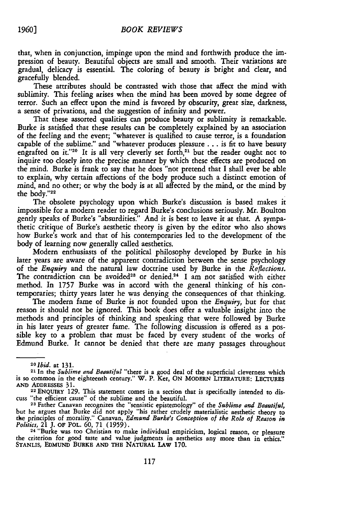that, when in conjunction, impinge upon the mind and forthwith produce the impression of beauty. Beautiful objects are small and smooth. Their variations are gradual, delicacy is essential. The coloring of beauty is bright and clear, and gracefully blended.

These attributes should be contrasted with those that affect the mind with sublimity. This feeling arises when the mind has been moved by some degree of terror. Such an effect upon the mind is favored by obscurity, great size, darkness, a sense of privations, and the suggestion of infinity and power.

That these assorted qualities can produce beauty or sublimity is remarkable. Burke is satisfied that these results can be completely explained by an association of the feeling and the event; "whatever is qualified to cause terror, is a foundation capable of the sublime." and "whatever produces pleasure **...** is fit to have beauty engrafted on it."<sup>20</sup> It is all very cleverly set forth,<sup>21</sup> but the reader ought not to inquire too closely into the precise manner by which these effects are produced on the mind. Burke is frank to say that he does "not pretend that I shall ever be able to explain, why certain affections of the body produce such a distinct emotion of mind, and no other; or why the body is at all affected by the mind, or the mind by the body."<sup>22</sup>

The obsolete psychology upon which Burke's discussion is based makes it impossible for a modern reader to regard Burke's conclusions seriously. Mr. Boulton gently speaks of Burke's "absurdities." And it is best to leave it at that. A sympathetic critique of Burke's aesthetic theory is given by the editor who also shows how Burke's work and that of his contemporaries led to the development of the body of learning now generally called aesthetics.

Modern enthusiasts of the political philosophy developed by Burke in his later years are aware of the apparent contradiction between the sense psychology of the *Enquiry* and the natural law doctrine used by Burke in the *Reflections.* The contradiction can be avoided<sup>28</sup> or denied.<sup>24</sup> I am not satisfied with either method. In 1757 Burke was in accord with the general thinking of his contemporaries; thirty years later he was denying the consequences of that thinking.

The modern fame of Burke is not founded upon the *Enquiry,* but for that reason it should not be ignored. This book does offer a valuable insight into the methods and principles of thinking and speaking that were followed by Burke in his later years of greater fame. The following discussion is offered as a possible key to a problem that must be faced by every student of the works of Edmund Burke. It cannot be denied that there are many passages throughout

*<sup>2</sup>Olbid.* at 131.

<sup>21</sup> In the *Sublime and Beautiful* "there is a good deal of the superficial cleverness which is so common in the eighteenth century." W. P. Ker, ON MODERN LITERATURE: LECTURES **AND** ADDRESSES **31. 22** ENQUIRY 129. This statement comes in a section that is specifically intended to dis-

cuss "the efficient cause" of the sublime and the beautiful. **<sup>23</sup>**Father Canavan recognizes the "sensistic epistemology" of the *Sublime and Beautiful,*

but he argues that Burke did not apply "his rather crudely materialistic aesthetic theory to the principles of morality." Canavan, *Edmund Burke's Conception of the Role of Reason in Politics,* 21 J. OF POL. 60, 71 (1959).<br>24 "Burke was too Christian to make individual empiricism, logical reason, or pleasure

the criterion for good taste and value judgments in aesthetics any more than in ethics." STANLIs, EDMUND BURKE **AND THE** NATURAL LAW 170.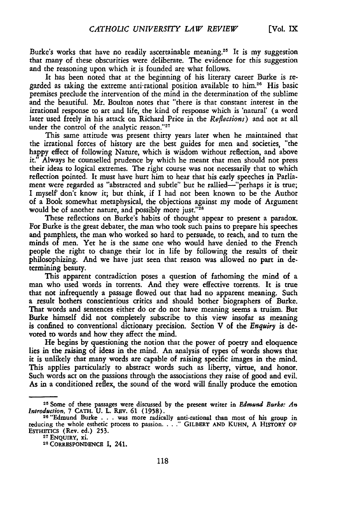Burke's works that have no readily ascertainable meaning.<sup>25</sup> It is my suggestion that many of these obscurities were deliberate. The evidence for this suggestion and the reasoning upon which it is founded are what follows.

It has been noted that at the beginning of his literary career Burke is regarded as taking the extreme anti-rational position available to him."6 His basic premises preclude the intervention of the mind in the determination of the sublime and the beautiful. Mr. Boulton notes that "there is that constant interest in the irrational response to art and life, the kind of response which is 'natural' (a word later used freely in his attack on Richard Price in the *Reflections)* and not at all under the control of the analytic reason."<sup>27</sup>

This same attitude was present thirty years later when he maintained that the irrational forces of history are the best guides for men and societies, "the happy effect of following Nature, which is wisdom without reflection, and above it." Always he counselled prudence by which he meant that men should not press their ideas to logical extremes. The right course was not necessarily that to which reflection pointed. It must have hurt him to hear that his early speeches in Parliament were regarded as "abstracted and subtle" but he rallied—"perhaps it is true; I myself don't know it; but think, if I had not been known to be the Author of a Book somewhat metaphysical, the objections against my mode of Argument would be of another nature, and possibly more just."<sup>28</sup>

These reflections on Burke's habits of thought appear to present a paradox. For Burke is the great debater, the man who took such pains to prepare his speeches and pamphlets, the man who worked so hard to persuade, to reach, and to turn the minds of men. Yet he is the same one who would have denied to the French people the right to change their lot in life by following the results of their philosophizing. And we have just seen that reason was allowed no part in determining beauty.

This apparent contradiction poses a question of fathoming the mind of a man who used words in torrents. And they were effective torrents. It is true that not infrequently a passage flowed out that had no apparent meaning. Such a result bothers conscientious critics and should bother biographers of Burke. That words and sentences either do or do not have meaning seems a truism. But Burke himself did not completely subscribe to this view insofar as meaning is confined to conventional dictionary precision. Section V of the *Enquiry* is devoted to words and how they affect the mind.

He begins by questioning the notion that the power of poetry and eloquence lies in the raising of ideas in the mind. An analysis of types of words shows that it is unlikely that many words are capable of raising specific images in the mind. This applies particularly to abstract words such as liberty, virtue, and honor. Such words act on the passions through the associations they raise of good and evil. As in a conditioned reflex, the sound of the word will finally produce the emotion

**<sup>25</sup>**Some of these passages were discussed **by** the present writer in *Edmund Burke: An Introduction*, 7 CATH. U. L. REV. 61 (1958).

**<sup>28</sup>**"Edmund Burke . . . was more radically anti-rational than most of his group in reducing the whole esthetic process to passion. **GILBERT AND KUHN,** A **HISTORY OF ESTHETICS** (Rev. ed.) 253. **27 ENQUIRY,** xi.

**<sup>28</sup> CORRESPONDENCE** I, 241.